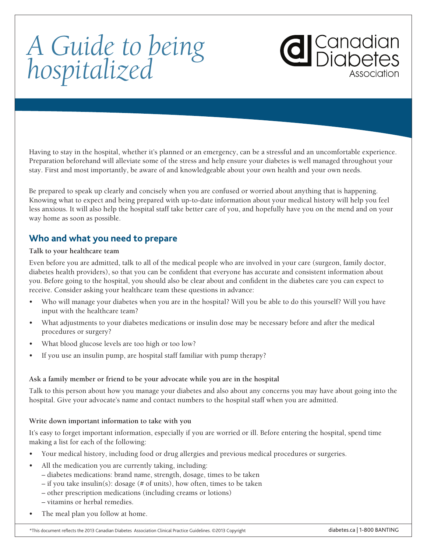# *A Guide to being hospitalized*

Having to stay in the hospital, whether it's planned or an emergency, can be a stressful and an uncomfortable experience. Preparation beforehand will alleviate some of the stress and help ensure your diabetes is well managed throughout your stay. First and most importantly, be aware of and knowledgeable about your own health and your own needs.

Be prepared to speak up clearly and concisely when you are confused or worried about anything that is happening. Knowing what to expect and being prepared with up-to-date information about your medical history will help you feel less anxious. It will also help the hospital staff take better care of you, and hopefully have you on the mend and on your way home as soon as possible.

### **Who and what you need to prepare**

#### **Talk to your healthcare team**

Even before you are admitted, talk to all of the medical people who are involved in your care (surgeon, family doctor, diabetes health providers), so that you can be confident that everyone has accurate and consistent information about you. Before going to the hospital, you should also be clear about and confident in the diabetes care you can expect to receive. Consider asking your healthcare team these questions in advance:

- Who will manage your diabetes when you are in the hospital? Will you be able to do this yourself? Will you have input with the healthcare team?
- What adjustments to your diabetes medications or insulin dose may be necessary before and after the medical procedures or surgery?
- What blood glucose levels are too high or too low?
- If you use an insulin pump, are hospital staff familiar with pump therapy?

#### **Ask a family member or friend to be your advocate while you are in the hospital**

Talk to this person about how you manage your diabetes and also about any concerns you may have about going into the hospital. Give your advocate's name and contact numbers to the hospital staff when you are admitted.

#### **Write down important information to take with you**

It's easy to forget important information, especially if you are worried or ill. Before entering the hospital, spend time making a list for each of the following:

- • Your medical history, including food or drug allergies and previous medical procedures or surgeries.
- All the medication you are currently taking, including:
	- diabetes medications: brand name, strength, dosage, times to be taken
	- if you take insulin(s): dosage (# of units), how often, times to be taken
	- other prescription medications (including creams or lotions)
	- vitamins or herbal remedies.
- The meal plan you follow at home.

d Canadian<br>Diabetes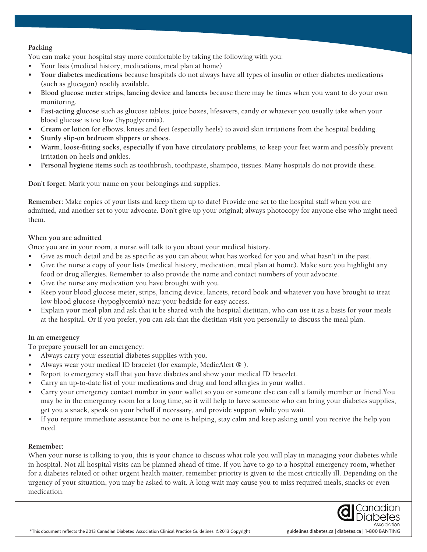#### **Packing**

You can make your hospital stay more comfortable by taking the following with you:

- Your lists (medical history, medications, meal plan at home)
- Your diabetes medications because hospitals do not always have all types of insulin or other diabetes medications (such as glucagon) readily available.
- **• Blood glucose meter strips, lancing device and lancets** because there may be times when you want to do your own monitoring.
- **• Fast-acting glucose** such as glucose tablets, juice boxes, lifesavers, candy or whatever you usually take when your blood glucose is too low (hypoglycemia).
- **• Cream or lotion** for elbows, knees and feet (especially heels) to avoid skin irritations from the hospital bedding.
- **• Sturdy slip-on bedroom slippers or shoes.**
- **• Warm, loose-fitting socks, especially if you have circulatory problems,** to keep your feet warm and possibly prevent irritation on heels and ankles.
- **Personal hygiene items** such as toothbrush, toothpaste, shampoo, tissues. Many hospitals do not provide these.

**Don't forget:** Mark your name on your belongings and supplies.

**Remember:** Make copies of your lists and keep them up to date! Provide one set to the hospital staff when you are admitted, and another set to your advocate. Don't give up your original; always photocopy for anyone else who might need them.

#### **When you are admitted**

Once you are in your room, a nurse will talk to you about your medical history.

- Give as much detail and be as specific as you can about what has worked for you and what hasn't in the past.
- • Give the nurse a copy of your lists (medical history, medication, meal plan at home). Make sure you highlight any food or drug allergies. Remember to also provide the name and contact numbers of your advocate.
- Give the nurse any medication you have brought with you.
- Keep your blood glucose meter, strips, lancing device, lancets, record book and whatever you have brought to treat low blood glucose (hypoglycemia) near your bedside for easy access.
- • Explain your meal plan and ask that it be shared with the hospital dietitian, who can use it as a basis for your meals at the hospital. Or if you prefer, you can ask that the dietitian visit you personally to discuss the meal plan.

#### **In an emergency**

To prepare yourself for an emergency:

- • Always carry your essential diabetes supplies with you.
- Always wear your medical ID bracelet (for example, MedicAlert ® ).
- Report to emergency staff that you have diabetes and show your medical ID bracelet.
- Carry an up-to-date list of your medications and drug and food allergies in your wallet.
- Carry your emergency contact number in your wallet so you or someone else can call a family member or friend.You may be in the emergency room for a long time, so it will help to have someone who can bring your diabetes supplies, get you a snack, speak on your behalf if necessary, and provide support while you wait.
- If you require immediate assistance but no one is helping, stay calm and keep asking until you receive the help you need.

#### **Remember:**

When your nurse is talking to you, this is your chance to discuss what role you will play in managing your diabetes while in hospital. Not all hospital visits can be planned ahead of time. If you have to go to a hospital emergency room, whether for a diabetes related or other urgent health matter, remember priority is given to the most critically ill. Depending on the urgency of your situation, you may be asked to wait. A long wait may cause you to miss required meals, snacks or even medication.

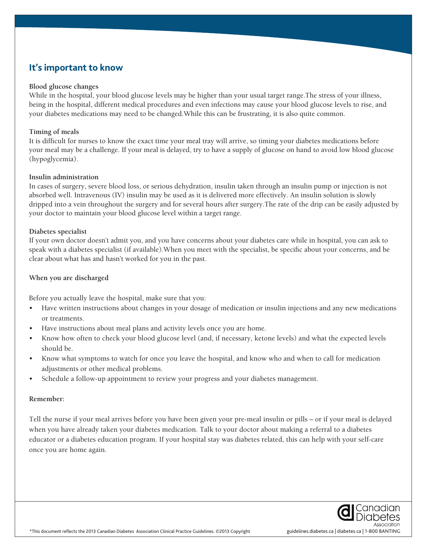## **It's important to know**

#### **Blood glucose changes**

While in the hospital, your blood glucose levels may be higher than your usual target range.The stress of your illness, being in the hospital, different medical procedures and even infections may cause your blood glucose levels to rise, and your diabetes medications may need to be changed.While this can be frustrating, it is also quite common.

#### **Timing of meals**

It is difficult for nurses to know the exact time your meal tray will arrive, so timing your diabetes medications before your meal may be a challenge. If your meal is delayed, try to have a supply of glucose on hand to avoid low blood glucose (hypoglycemia).

#### **Insulin administration**

In cases of surgery, severe blood loss, or serious dehydration, insulin taken through an insulin pump or injection is not absorbed well. Intravenous (IV) insulin may be used as it is delivered more effectively. An insulin solution is slowly dripped into a vein throughout the surgery and for several hours after surgery.The rate of the drip can be easily adjusted by your doctor to maintain your blood glucose level within a target range.

#### **Diabetes specialist**

If your own doctor doesn't admit you, and you have concerns about your diabetes care while in hospital, you can ask to speak with a diabetes specialist (if available).When you meet with the specialist, be specific about your concerns, and be clear about what has and hasn't worked for you in the past.

#### **When you are discharged**

Before you actually leave the hospital, make sure that you:

- Have written instructions about changes in your dosage of medication or insulin injections and any new medications or treatments.
- Have instructions about meal plans and activity levels once you are home.
- Know how often to check your blood glucose level (and, if necessary, ketone levels) and what the expected levels should be.
- Know what symptoms to watch for once you leave the hospital, and know who and when to call for medication adjustments or other medical problems.
- Schedule a follow-up appointment to review your progress and your diabetes management.

#### **Remember:**

Tell the nurse if your meal arrives before you have been given your pre-meal insulin or pills – or if your meal is delayed when you have already taken your diabetes medication. Talk to your doctor about making a referral to a diabetes educator or a diabetes education program. If your hospital stay was diabetes related, this can help with your self-care once you are home again.